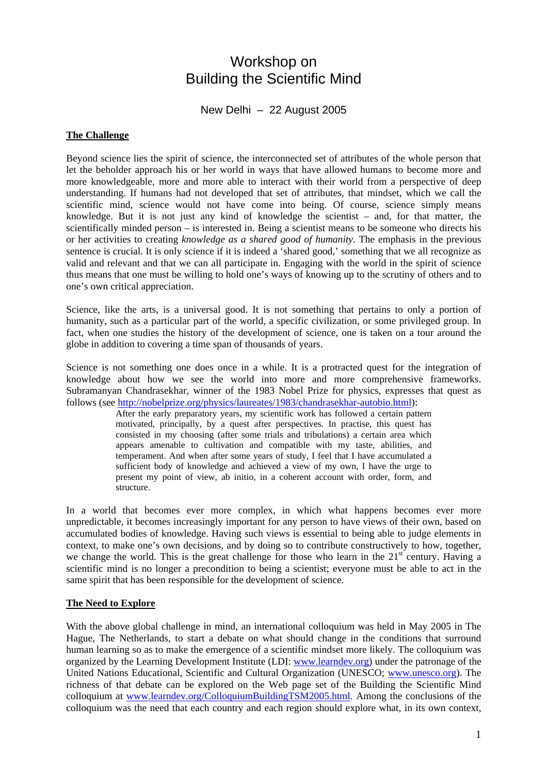# Workshop on Building the Scientific Mind

New Delhi – 22 August 2005

#### **The Challenge**

Beyond science lies the spirit of science, the interconnected set of attributes of the whole person that let the beholder approach his or her world in ways that have allowed humans to become more and more knowledgeable, more and more able to interact with their world from a perspective of deep understanding. If humans had not developed that set of attributes, that mindset, which we call the scientific mind, science would not have come into being. Of course, science simply means knowledge. But it is not just any kind of knowledge the scientist – and, for that matter, the scientifically minded person – is interested in. Being a scientist means to be someone who directs his or her activities to creating *knowledge as a shared good of humanity*. The emphasis in the previous sentence is crucial. It is only science if it is indeed a 'shared good,' something that we all recognize as valid and relevant and that we can all participate in. Engaging with the world in the spirit of science thus means that one must be willing to hold one's ways of knowing up to the scrutiny of others and to one's own critical appreciation.

Science, like the arts, is a universal good. It is not something that pertains to only a portion of humanity, such as a particular part of the world, a specific civilization, or some privileged group. In fact, when one studies the history of the development of science, one is taken on a tour around the globe in addition to covering a time span of thousands of years.

Science is not something one does once in a while. It is a protracted quest for the integration of knowledge about how we see the world into more and more comprehensive frameworks. Subramanyan Chandrasekhar, winner of the 1983 Nobel Prize for physics, expresses that quest as follows (see [http://nobelprize.org/physics/laureates/1983/chandrasekhar-autobio.html\)](http://nobelprize.org/physics/laureates/1983/chandrasekhar-autobio.html):

After the early preparatory years, my scientific work has followed a certain pattern motivated, principally, by a quest after perspectives. In practise, this quest has consisted in my choosing (after some trials and tribulations) a certain area which appears amenable to cultivation and compatible with my taste, abilities, and temperament. And when after some years of study, I feel that I have accumulated a sufficient body of knowledge and achieved a view of my own, I have the urge to present my point of view, ab initio, in a coherent account with order, form, and structure.

In a world that becomes ever more complex, in which what happens becomes ever more unpredictable, it becomes increasingly important for any person to have views of their own, based on accumulated bodies of knowledge. Having such views is essential to being able to judge elements in context, to make one's own decisions, and by doing so to contribute constructively to how, together, we change the world. This is the great challenge for those who learn in the  $21<sup>st</sup>$  century. Having a scientific mind is no longer a precondition to being a scientist; everyone must be able to act in the same spirit that has been responsible for the development of science.

## **The Need to Explore**

With the above global challenge in mind, an international colloquium was held in May 2005 in The Hague, The Netherlands, to start a debate on what should change in the conditions that surround human learning so as to make the emergence of a scientific mindset more likely. The colloquium was organized by the Learning Development Institute (LDI: [www.learndev.org](http://www.learndev.org/)) under the patronage of the United Nations Educational, Scientific and Cultural Organization (UNESCO; [www.unesco.org](http://www.unesco.org/)). The richness of that debate can be explored on the Web page set of the Building the Scientific Mind colloquium at [www.learndev.org/ColloquiumBuildingTSM2005.html](http://www.learndev.org/ColloquiumBuildingTSM2005.html). Among the conclusions of the colloquium was the need that each country and each region should explore what, in its own context,